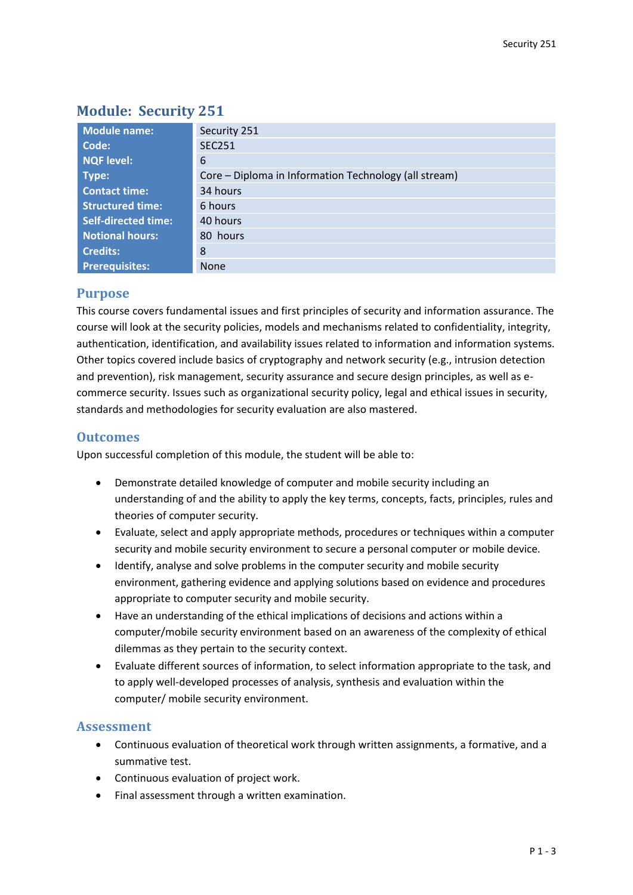# **Module: Security 251**

| Module name:               | Security 251                                          |
|----------------------------|-------------------------------------------------------|
| Code:                      | <b>SEC251</b>                                         |
| NQF level:                 | 6                                                     |
| Type:                      | Core – Diploma in Information Technology (all stream) |
| <b>Contact time:</b>       | 34 hours                                              |
| <b>Structured time:</b>    | 6 hours                                               |
| <b>Self-directed time:</b> | 40 hours                                              |
| <b>Notional hours:</b>     | 80 hours                                              |
| <b>Credits:</b>            | 8                                                     |
| <b>Prerequisites:</b>      | <b>None</b>                                           |

## **Purpose**

This course covers fundamental issues and first principles of security and information assurance. The course will look at the security policies, models and mechanisms related to confidentiality, integrity, authentication, identification, and availability issues related to information and information systems. Other topics covered include basics of cryptography and network security (e.g., intrusion detection and prevention), risk management, security assurance and secure design principles, as well as ecommerce security. Issues such as organizational security policy, legal and ethical issues in security, standards and methodologies for security evaluation are also mastered.

## **Outcomes**

Upon successful completion of this module, the student will be able to:

- Demonstrate detailed knowledge of computer and mobile security including an understanding of and the ability to apply the key terms, concepts, facts, principles, rules and theories of computer security.
- Evaluate, select and apply appropriate methods, procedures or techniques within a computer security and mobile security environment to secure a personal computer or mobile device.
- Identify, analyse and solve problems in the computer security and mobile security environment, gathering evidence and applying solutions based on evidence and procedures appropriate to computer security and mobile security.
- Have an understanding of the ethical implications of decisions and actions within a computer/mobile security environment based on an awareness of the complexity of ethical dilemmas as they pertain to the security context.
- Evaluate different sources of information, to select information appropriate to the task, and to apply well-developed processes of analysis, synthesis and evaluation within the computer/ mobile security environment.

## **Assessment**

- Continuous evaluation of theoretical work through written assignments, a formative, and a summative test.
- Continuous evaluation of project work.
- Final assessment through a written examination.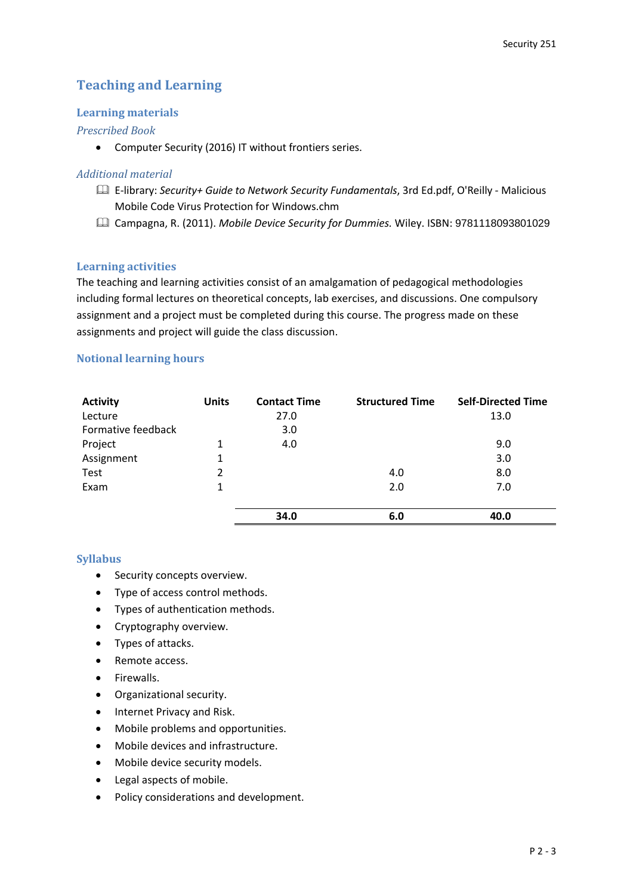## **Teaching and Learning**

### **Learning materials**

### *Prescribed Book*

Computer Security (2016) IT without frontiers series.

#### *Additional material*

- E-library: *Security+ Guide to Network Security Fundamentals*, 3rd Ed.pdf, O'Reilly Malicious Mobile Code Virus Protection for Windows.chm
- Campagna, R. (2011). *Mobile Device Security for Dummies.* Wiley. ISBN: 9781118093801029

### **Learning activities**

The teaching and learning activities consist of an amalgamation of pedagogical methodologies including formal lectures on theoretical concepts, lab exercises, and discussions. One compulsory assignment and a project must be completed during this course. The progress made on these assignments and project will guide the class discussion.

#### **Notional learning hours**

| <b>Activity</b>    | <b>Units</b> | <b>Contact Time</b> | <b>Structured Time</b> | <b>Self-Directed Time</b> |
|--------------------|--------------|---------------------|------------------------|---------------------------|
| Lecture            |              | 27.0                |                        | 13.0                      |
| Formative feedback |              | 3.0                 |                        |                           |
| Project            | 1            | 4.0                 |                        | 9.0                       |
| Assignment         | 1            |                     |                        | 3.0                       |
| Test               | 2            |                     | 4.0                    | 8.0                       |
| Exam               | 1            |                     | 2.0                    | 7.0                       |
|                    |              |                     |                        |                           |
|                    |              | 34.0                | 6.0                    | 40.0                      |

#### **Syllabus**

- **•** Security concepts overview.
- Type of access control methods.
- Types of authentication methods.
- Cryptography overview.
- Types of attacks.
- Remote access.
- Firewalls.
- Organizational security.
- Internet Privacy and Risk.
- Mobile problems and opportunities.
- Mobile devices and infrastructure.
- Mobile device security models.
- Legal aspects of mobile.
- Policy considerations and development.